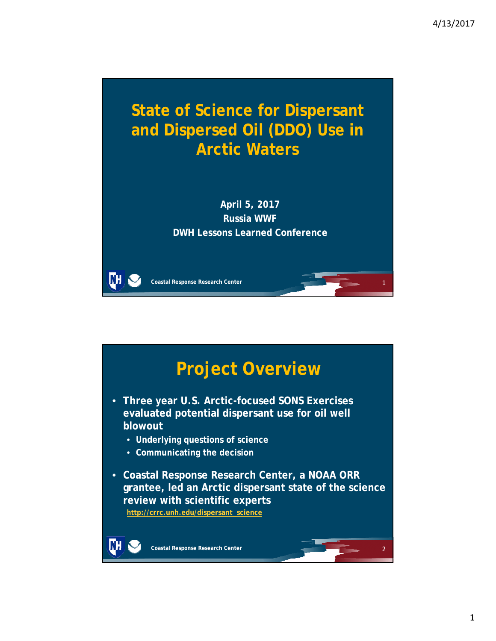2



**April 5, 2017 Russia WWF DWH Lessons Learned Conference**

**Coastal Response Research Center**

WН

NH

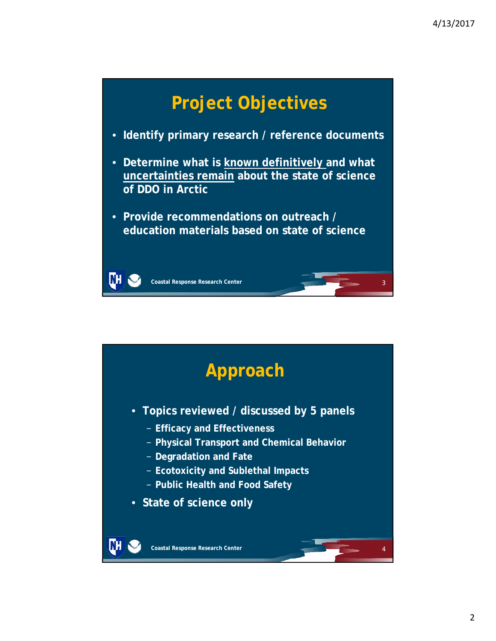

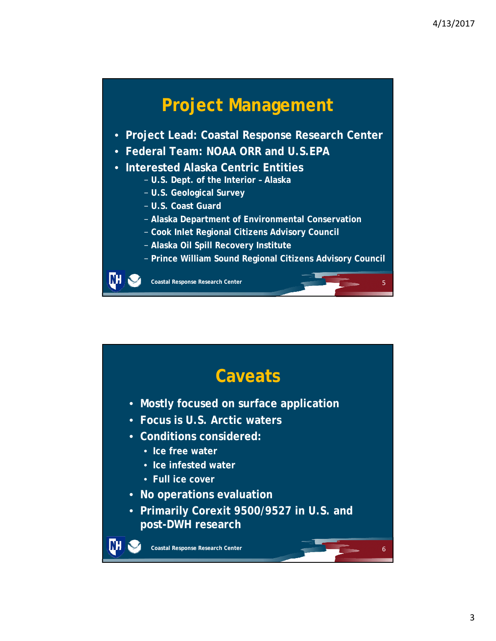![](_page_2_Figure_1.jpeg)

![](_page_2_Figure_2.jpeg)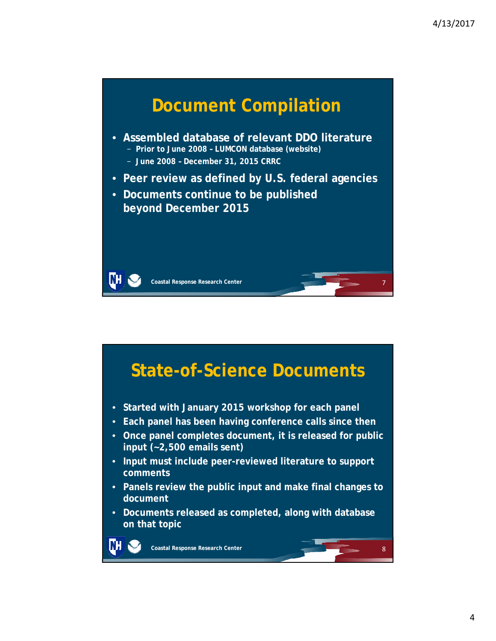![](_page_3_Figure_1.jpeg)

![](_page_3_Figure_2.jpeg)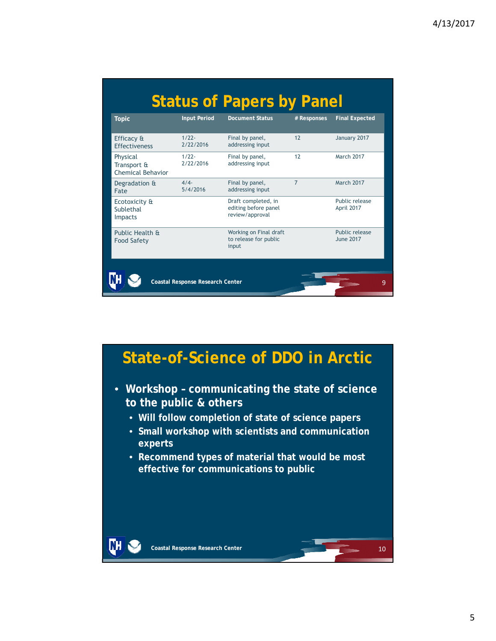| <b>Topic</b>                                        | <b>Input Period</b>   | <b>Document Status</b>                                         | # Responses    | <b>Final Expected</b>              |
|-----------------------------------------------------|-----------------------|----------------------------------------------------------------|----------------|------------------------------------|
| Efficacy &<br><b>Fffectiveness</b>                  | $1/22 -$<br>2/22/2016 | Final by panel,<br>addressing input                            | 12             | January 2017                       |
| Physical<br>Transport &<br><b>Chemical Behavior</b> | $1/22 -$<br>2/22/2016 | Final by panel,<br>addressing input                            | 12             | <b>March 2017</b>                  |
| Degradation &<br>Fate                               | 4/4<br>5/4/2016       | Final by panel,<br>addressing input                            | $\overline{7}$ | <b>March 2017</b>                  |
| Ecotoxicity &<br>Sublethal<br><b>Impacts</b>        |                       | Draft completed, in<br>editing before panel<br>review/approval |                | Public release<br>April 2017       |
| Public Health &<br><b>Food Safety</b>               |                       | Working on Final draft<br>to release for public<br>input       |                | Public release<br><b>June 2017</b> |

![](_page_4_Figure_2.jpeg)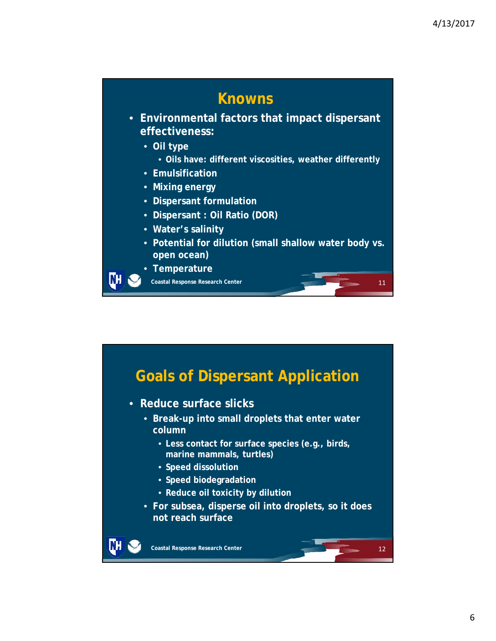![](_page_5_Figure_1.jpeg)

![](_page_5_Figure_2.jpeg)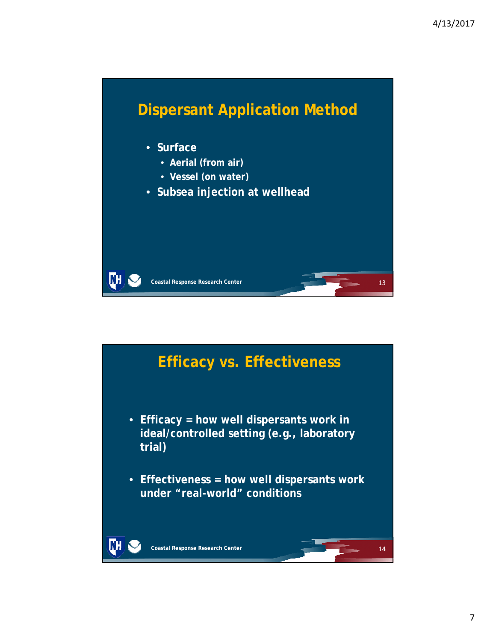![](_page_6_Figure_1.jpeg)

![](_page_6_Figure_2.jpeg)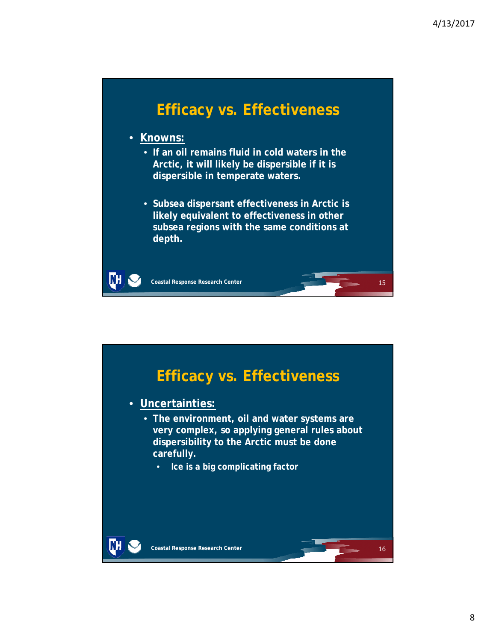### **Efficacy vs. Effectiveness**

• **Knowns:**

DН

- **If an oil remains fluid in cold waters in the Arctic, it will likely be dispersible if it is dispersible in temperate waters.**
- **Subsea dispersant effectiveness in Arctic is likely equivalent to effectiveness in other subsea regions with the same conditions at depth.**

![](_page_7_Figure_6.jpeg)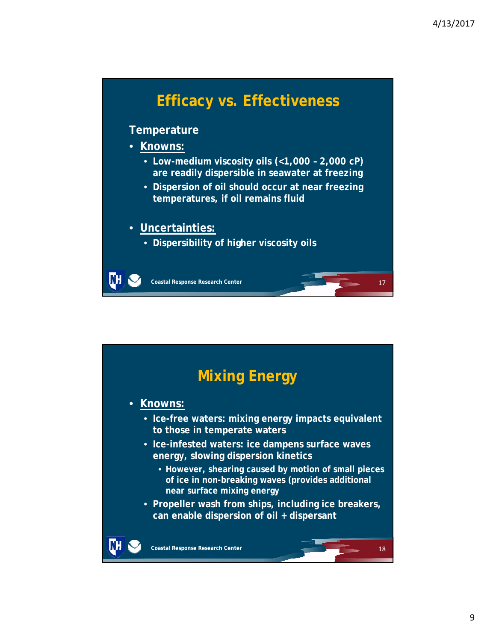## **Efficacy vs. Effectiveness**

#### **Temperature**

• **Knowns:**

ĽН

- **Low-medium viscosity oils (<1,000 2,000 cP) are readily dispersible in seawater at freezing**
- **Dispersion of oil should occur at near freezing temperatures, if oil remains fluid**

#### • **Uncertainties:**

• **Dispersibility of higher viscosity oils**

![](_page_8_Figure_9.jpeg)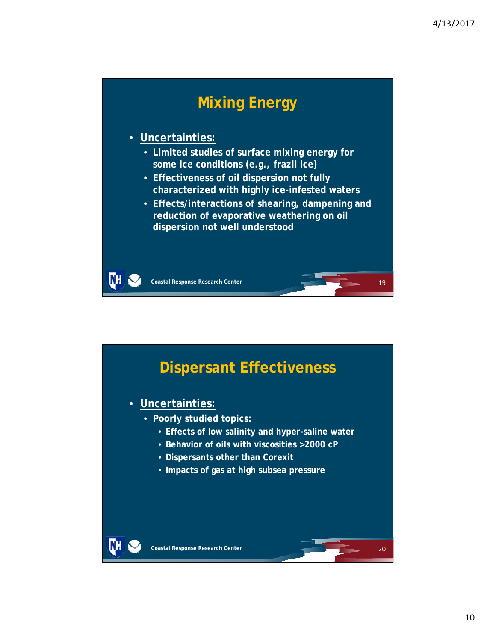## **Mixing Energy**

#### • **Uncertainties:**

- **Limited studies of surface mixing energy for some ice conditions (e.g., frazil ice)**
- **Effectiveness of oil dispersion not fully characterized with highly ice-infested waters**
- **Effects/interactions of shearing, dampening and reduction of evaporative weathering on oil dispersion not well understood**

![](_page_9_Figure_7.jpeg)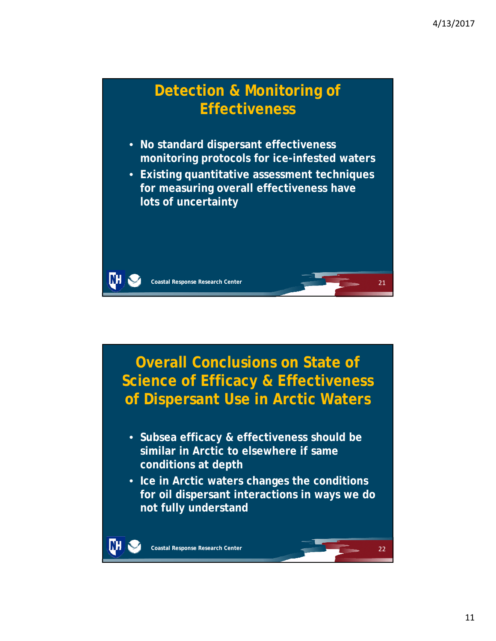![](_page_10_Picture_1.jpeg)

![](_page_10_Picture_2.jpeg)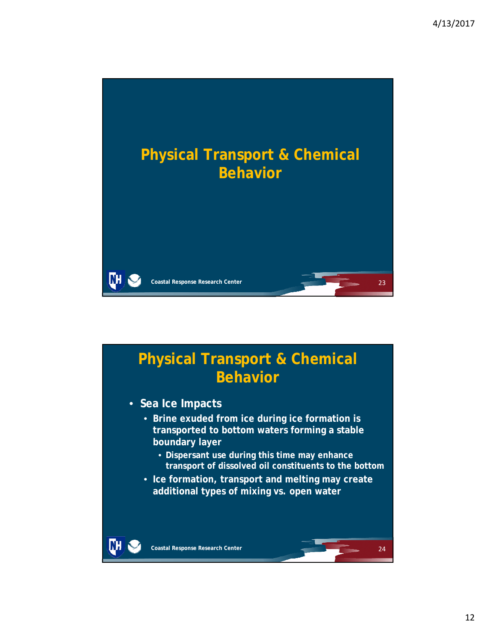![](_page_11_Picture_1.jpeg)

## **Physical Transport & Chemical Behavior**

- **Sea Ice Impacts**
	- **Brine exuded from ice during ice formation is transported to bottom waters forming a stable boundary layer**
		- **Dispersant use during this time may enhance transport of dissolved oil constituents to the bottom**
	- **Ice formation, transport and melting may create additional types of mixing vs. open water**

DН

24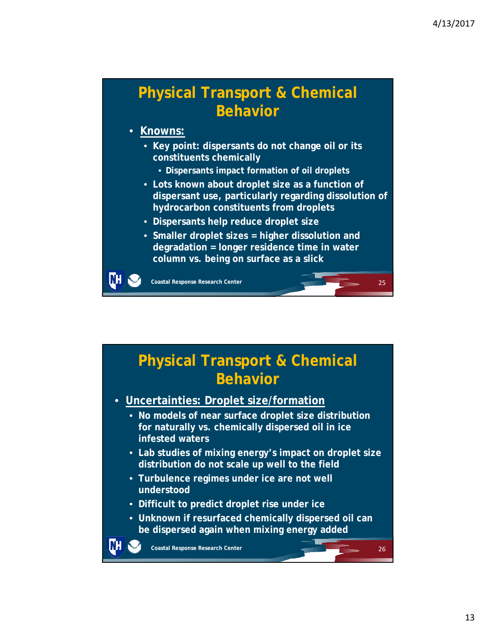26

### **Physical Transport & Chemical Behavior**

#### • **Knowns:**

ĽН

- **Key point: dispersants do not change oil or its constituents chemically**
	- **Dispersants impact formation of oil droplets**
- **Lots known about droplet size as a function of dispersant use, particularly regarding dissolution of hydrocarbon constituents from droplets**
- **Dispersants help reduce droplet size**
- **Smaller droplet sizes = higher dissolution and degradation = longer residence time in water column vs. being on surface as a slick**

**Coastal Response Research Center**

### **Physical Transport & Chemical Behavior**

- **Uncertainties: Droplet size/formation**
	- **No models of near surface droplet size distribution for naturally vs. chemically dispersed oil in ice infested waters**
	- **Lab studies of mixing energy's impact on droplet size distribution do not scale up well to the field**
	- **Turbulence regimes under ice are not well understood**
	- **Difficult to predict droplet rise under ice**
	- **Unknown if resurfaced chemically dispersed oil can be dispersed again when mixing energy added**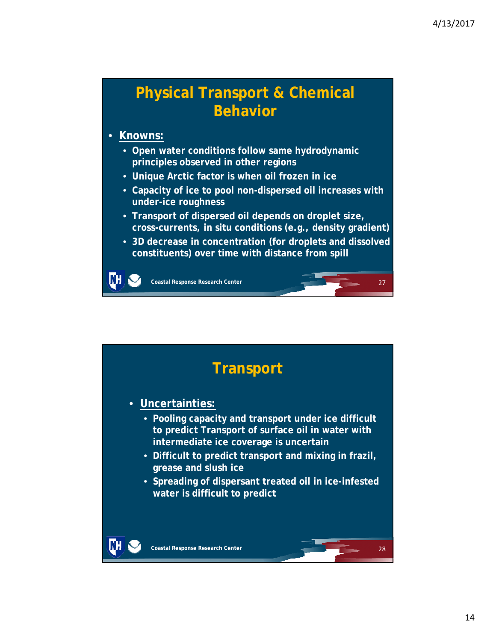### **Physical Transport & Chemical Behavior**

#### • **Knowns:**

ĽН

- **Open water conditions follow same hydrodynamic principles observed in other regions**
- **Unique Arctic factor is when oil frozen in ice**
- **Capacity of ice to pool non-dispersed oil increases with under-ice roughness**
- **Transport of dispersed oil depends on droplet size, cross-currents, in situ conditions (e.g., density gradient)**
- **3D decrease in concentration (for droplets and dissolved constituents) over time with distance from spill**

![](_page_13_Figure_9.jpeg)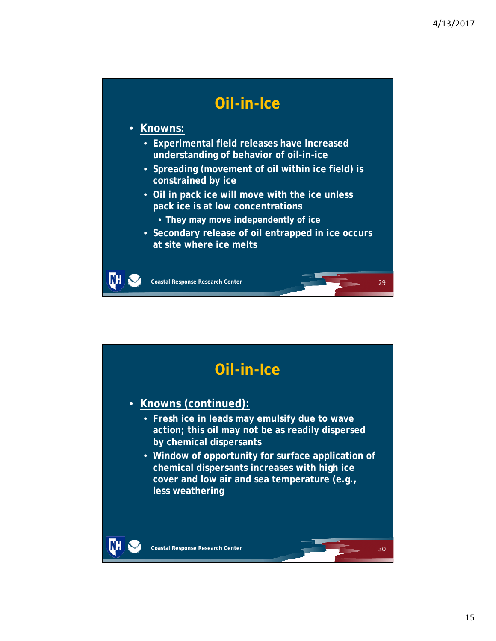### **Oil-in-Ice**

#### • **Knowns:**

DН

- **Experimental field releases have increased understanding of behavior of oil-in-ice**
- **Spreading (movement of oil within ice field) is constrained by ice**
- **Oil in pack ice will move with the ice unless pack ice is at low concentrations**
	- **They may move independently of ice**
- **Secondary release of oil entrapped in ice occurs at site where ice melts**

![](_page_14_Figure_9.jpeg)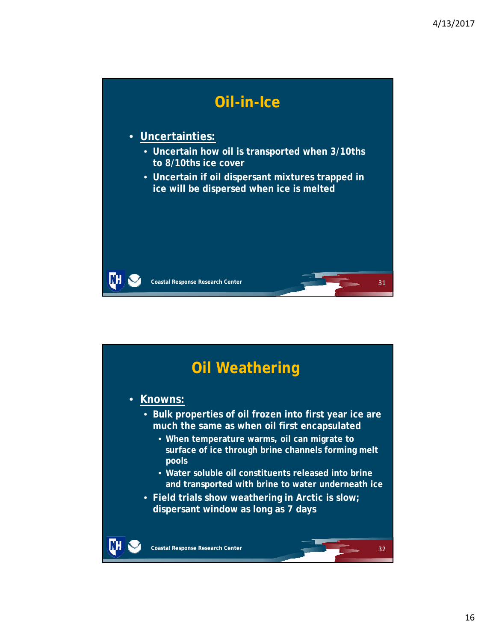![](_page_15_Picture_1.jpeg)

![](_page_15_Figure_2.jpeg)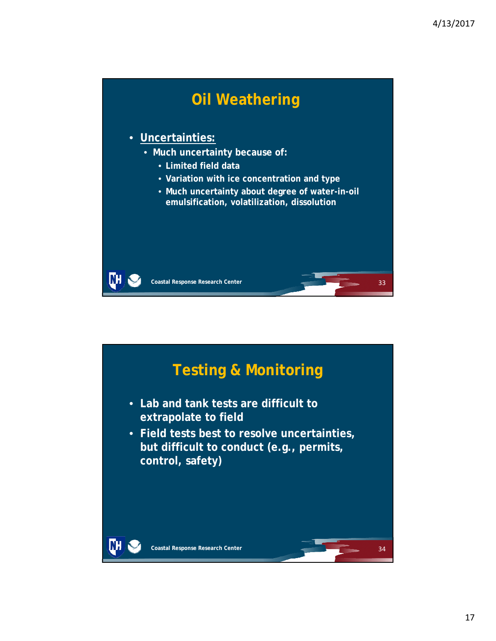![](_page_16_Picture_1.jpeg)

![](_page_16_Figure_2.jpeg)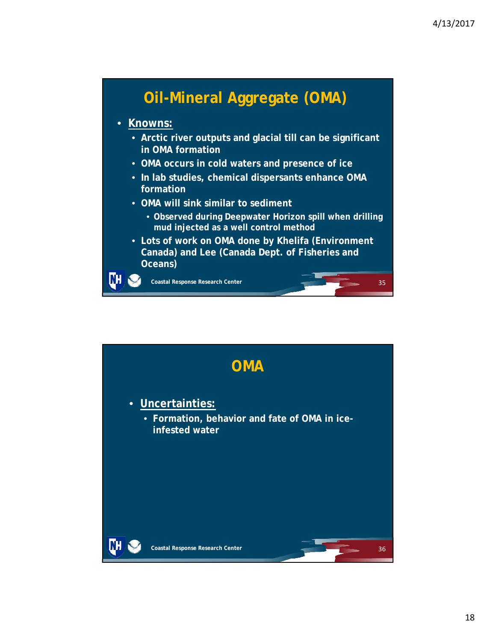![](_page_17_Figure_1.jpeg)

#### • **Knowns:**

- **Arctic river outputs and glacial till can be significant in OMA formation**
- **OMA occurs in cold waters and presence of ice**
- **In lab studies, chemical dispersants enhance OMA formation**
- **OMA will sink similar to sediment**
	- **Observed during Deepwater Horizon spill when drilling mud injected as a well control method**
- **Lots of work on OMA done by Khelifa (Environment Canada) and Lee (Canada Dept. of Fisheries and Oceans)**

**Coastal Response Research Center**

ŒН

![](_page_17_Figure_10.jpeg)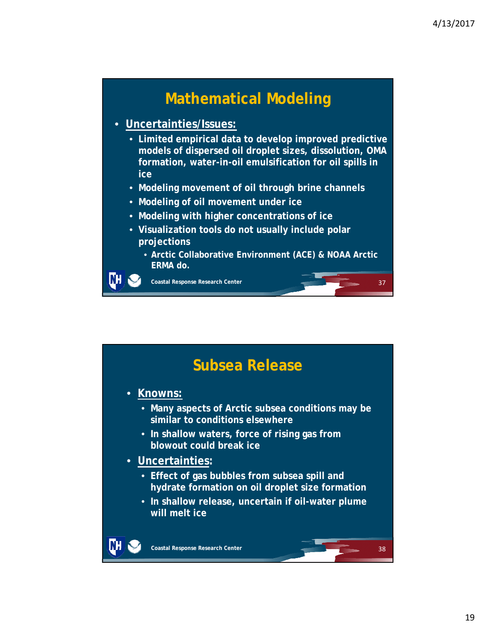### **Mathematical Modeling**

#### • **Uncertainties/Issues:**

- **Limited empirical data to develop improved predictive models of dispersed oil droplet sizes, dissolution, OMA formation, water-in-oil emulsification for oil spills in ice**
- **Modeling movement of oil through brine channels**
- **Modeling of oil movement under ice**
- **Modeling with higher concentrations of ice**
- **Visualization tools do not usually include polar projections**
	- **Arctic Collaborative Environment (ACE) & NOAA Arctic ERMA do.**

**Coastal Response Research Center**

NH

![](_page_18_Figure_10.jpeg)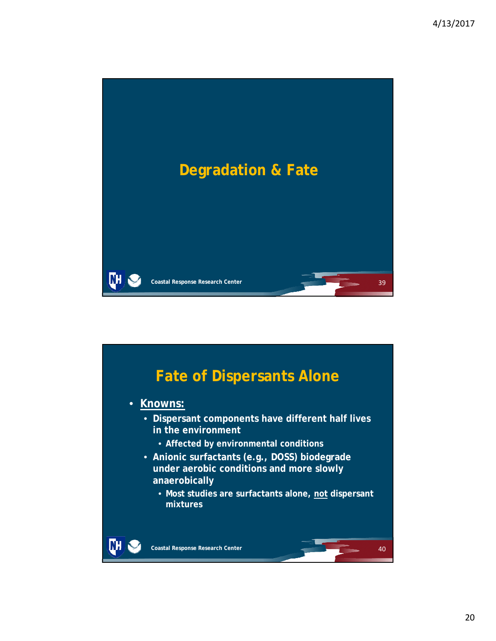![](_page_19_Picture_1.jpeg)

![](_page_19_Figure_2.jpeg)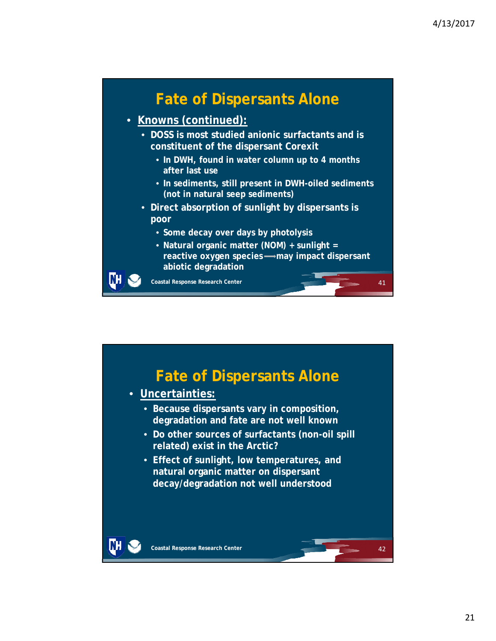### **Fate of Dispersants Alone**

- **Knowns (continued):**
	- **DOSS is most studied anionic surfactants and is constituent of the dispersant Corexit**
		- **In DWH, found in water column up to 4 months after last use**
		- **In sediments, still present in DWH-oiled sediments (not in natural seep sediments)**
	- **Direct absorption of sunlight by dispersants is poor**
		- **Some decay over days by photolysis**
		- **Natural organic matter (NOM) + sunlight =**  reactive oxygen species **may impact dispersant abiotic degradation**

**Coastal Response Research Center**

NH

![](_page_20_Picture_10.jpeg)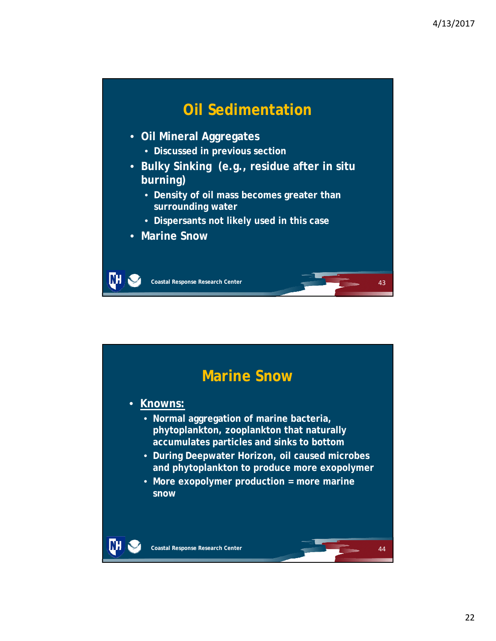![](_page_21_Figure_1.jpeg)

![](_page_21_Figure_2.jpeg)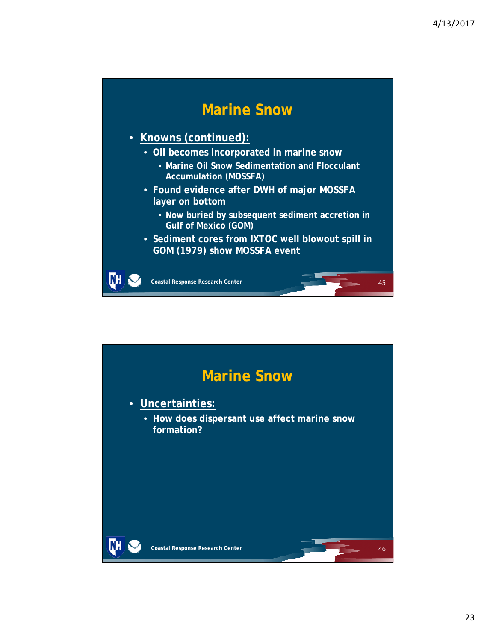### **Marine Snow**

### • **Knowns (continued):**

- **Oil becomes incorporated in marine snow**
	- **Marine Oil Snow Sedimentation and Flocculant Accumulation (MOSSFA)**
- **Found evidence after DWH of major MOSSFA layer on bottom**
	- **Now buried by subsequent sediment accretion in Gulf of Mexico (GOM)**
- **Sediment cores from IXTOC well blowout spill in GOM (1979) show MOSSFA event**

**Coastal Response Research Center**

m

![](_page_22_Figure_9.jpeg)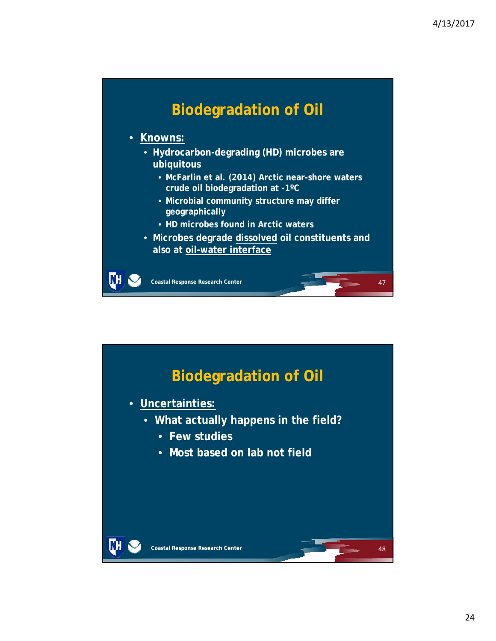![](_page_23_Figure_1.jpeg)

![](_page_23_Figure_2.jpeg)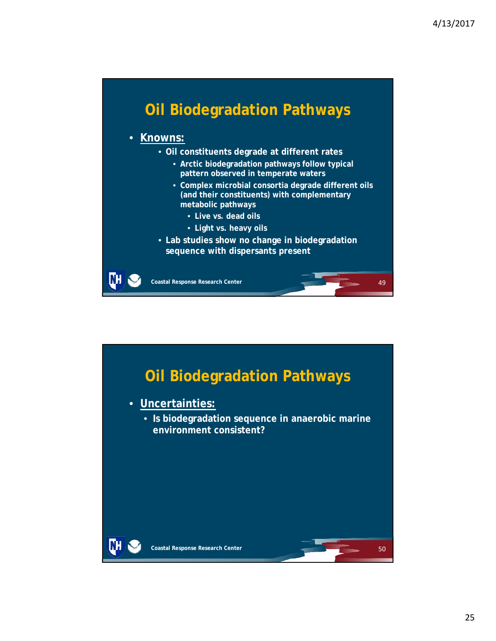### **Oil Biodegradation Pathways**

#### • **Knowns:**

ŒН

- **Oil constituents degrade at different rates**
	- **Arctic biodegradation pathways follow typical pattern observed in temperate waters**
	- **Complex microbial consortia degrade different oils (and their constituents) with complementary metabolic pathways**
		- **Live vs. dead oils**
		- **Light vs. heavy oils**
- **Lab studies show no change in biodegradation sequence with dispersants present**

![](_page_24_Figure_10.jpeg)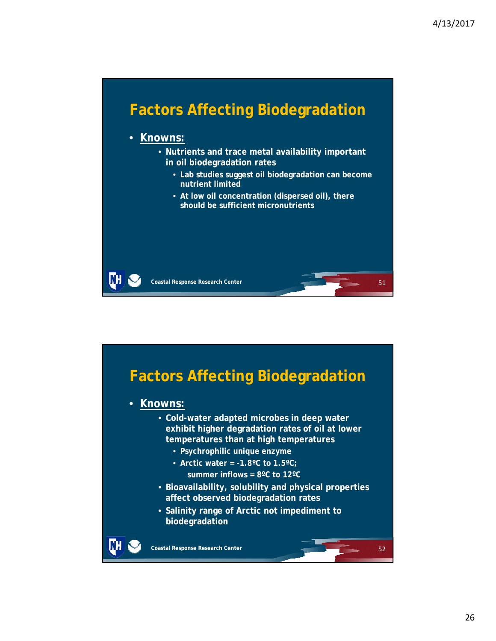![](_page_25_Figure_1.jpeg)

![](_page_25_Figure_2.jpeg)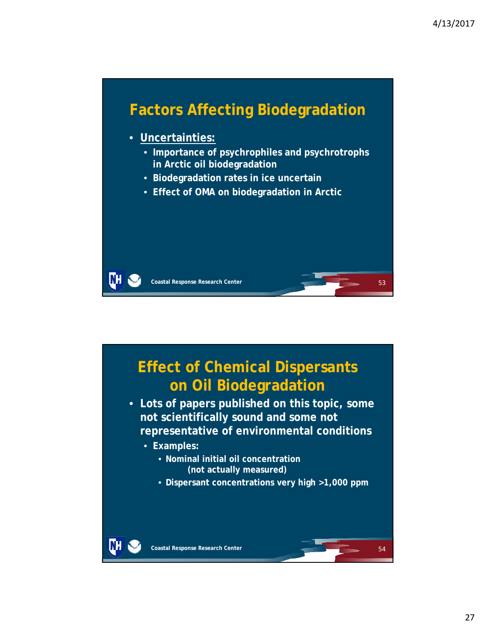![](_page_26_Figure_1.jpeg)

![](_page_26_Figure_2.jpeg)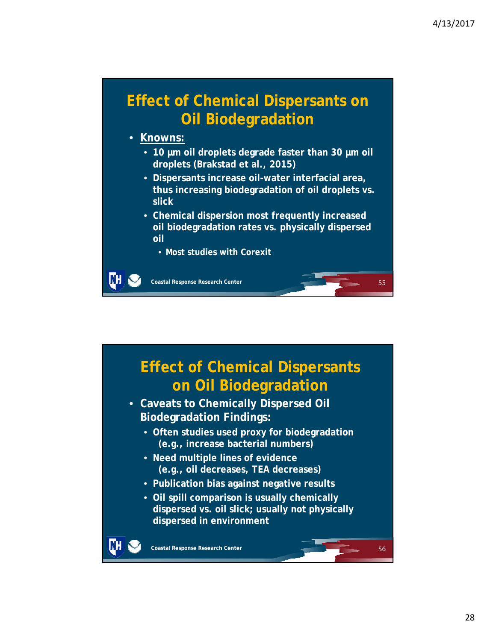56

### **Effect of Chemical Dispersants on Oil Biodegradation**

#### • **Knowns:**

NH

- **10 µm oil droplets degrade faster than 30 µm oil droplets (Brakstad et al., 2015)**
- **Dispersants increase oil-water interfacial area, thus increasing biodegradation of oil droplets vs. slick**
- **Chemical dispersion most frequently increased oil biodegradation rates vs. physically dispersed oil**
	- **Most studies with Corexit**

**Coastal Response Research Center**

# **Effect of Chemical Dispersants on Oil Biodegradation**

- **Caveats to Chemically Dispersed Oil Biodegradation Findings:**
	- **Often studies used proxy for biodegradation (e.g., increase bacterial numbers)**
	- **Need multiple lines of evidence (e.g., oil decreases, TEA decreases)**
	- **Publication bias against negative results**
	- **Oil spill comparison is usually chemically dispersed vs. oil slick; usually not physically dispersed in environment**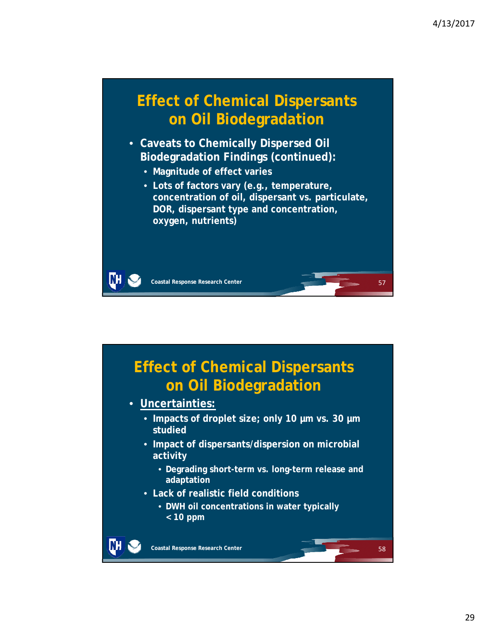58

### **Effect of Chemical Dispersants on Oil Biodegradation**

- **Caveats to Chemically Dispersed Oil Biodegradation Findings (continued):**
	- **Magnitude of effect varies**
	- **Lots of factors vary (e.g., temperature, concentration of oil, dispersant vs. particulate, DOR, dispersant type and concentration, oxygen, nutrients)**

ŒН **Coastal Response Research Center**

## **Effect of Chemical Dispersants on Oil Biodegradation**

- **Uncertainties:**
	- **Impacts of droplet size; only 10 µm vs. 30 µm studied**
	- **Impact of dispersants/dispersion on microbial activity** 
		- **Degrading short-term vs. long-term release and adaptation**
	- **Lack of realistic field conditions**
		- **DWH oil concentrations in water typically < 10 ppm**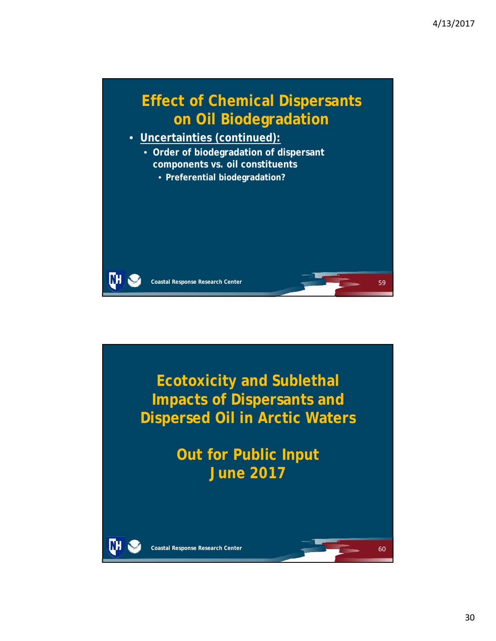![](_page_29_Picture_1.jpeg)

![](_page_29_Picture_2.jpeg)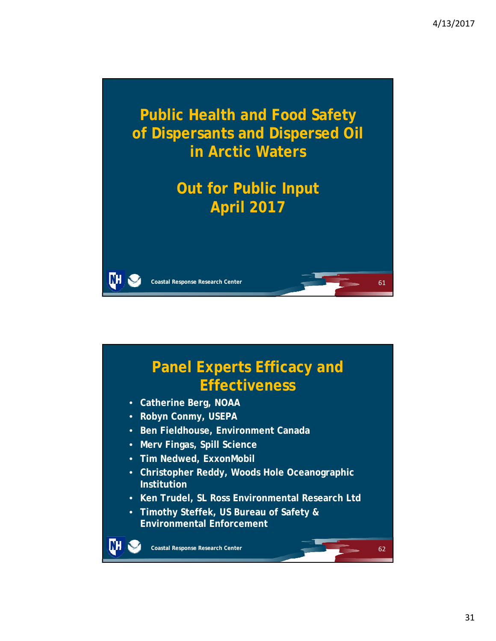![](_page_30_Picture_1.jpeg)

## **Panel Experts Efficacy and Effectiveness**

- **Catherine Berg, NOAA**
- **Robyn Conmy, USEPA**
- **Ben Fieldhouse, Environment Canada**
- **Merv Fingas, Spill Science**
- **Tim Nedwed, ExxonMobil**
- **Christopher Reddy, Woods Hole Oceanographic Institution**
- **Ken Trudel, SL Ross Environmental Research Ltd**
- **Timothy Steffek, US Bureau of Safety & Environmental Enforcement**

**Coastal Response Research Center**

DН

62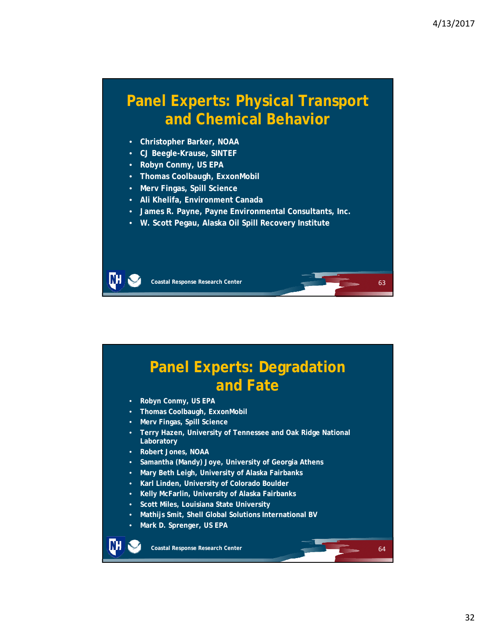64

### **Panel Experts: Physical Transport and Chemical Behavior**

- **Christopher Barker, NOAA**
- **CJ Beegle-Krause, SINTEF**
- **Robyn Conmy, US EPA**
- **Thomas Coolbaugh, ExxonMobil**
- **Merv Fingas, Spill Science**
- **Ali Khelifa, Environment Canada**
- **James R. Payne, Payne Environmental Consultants, Inc.**
- **W. Scott Pegau, Alaska Oil Spill Recovery Institute**

ŒН **Coastal Response Research Center**

### **Panel Experts: Degradation and Fate**

- **Robyn Conmy, US EPA**
- **Thomas Coolbaugh, ExxonMobil**
- **Merv Fingas, Spill Science**
- **Terry Hazen, University of Tennessee and Oak Ridge National Laboratory**
- **Robert Jones, NOAA**
- **Samantha (Mandy) Joye, University of Georgia Athens**
- **Mary Beth Leigh, University of Alaska Fairbanks**
- **Karl Linden, University of Colorado Boulder**
- **Kelly McFarlin, University of Alaska Fairbanks**
- **Scott Miles, Louisiana State University**
- **Mathijs Smit, Shell Global Solutions International BV**
- **Mark D. Sprenger, US EPA**

![](_page_31_Picture_24.jpeg)